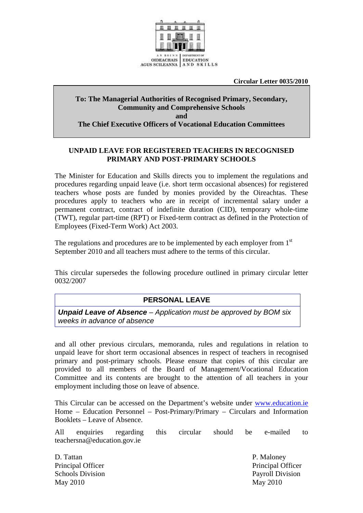

**Circular Letter 0035/2010** 

#### **To: The Managerial Authorities of Recognised Primary, Secondary, Community and Comprehensive Schools and The Chief Executive Officers of Vocational Education Committees**

#### **UNPAID LEAVE FOR REGISTERED TEACHERS IN RECOGNISED PRIMARY AND POST-PRIMARY SCHOOLS**

The Minister for Education and Skills directs you to implement the regulations and procedures regarding unpaid leave (i.e. short term occasional absences) for registered teachers whose posts are funded by monies provided by the Oireachtas. These procedures apply to teachers who are in receipt of incremental salary under a permanent contract, contract of indefinite duration (CID), temporary whole-time (TWT), regular part-time (RPT) or Fixed-term contract as defined in the Protection of Employees (Fixed-Term Work) Act 2003.

The regulations and procedures are to be implemented by each employer from 1<sup>st</sup> September 2010 and all teachers must adhere to the terms of this circular.

This circular supersedes the following procedure outlined in primary circular letter 0032/2007

# **PERSONAL LEAVE**

*Unpaid Leave of Absence – Application must be approved by BOM six weeks in advance of absence* 

and all other previous circulars, memoranda, rules and regulations in relation to unpaid leave for short term occasional absences in respect of teachers in recognised primary and post-primary schools. Please ensure that copies of this circular are provided to all members of the Board of Management/Vocational Education Committee and its contents are brought to the attention of all teachers in your employment including those on leave of absence.

This Circular can be accessed on the Department's website under [www.education.ie](http://www.education.ie/) Home – Education Personnel – Post-Primary/Primary – Circulars and Information Booklets – Leave of Absence.

All enquiries regarding this circular should be e-mailed to teachersna@education.gov.ie

D. Tattan P. Maloney Schools Division Payroll Division May 2010 May 2010

Principal Officer **Principal Officer** Principal Officer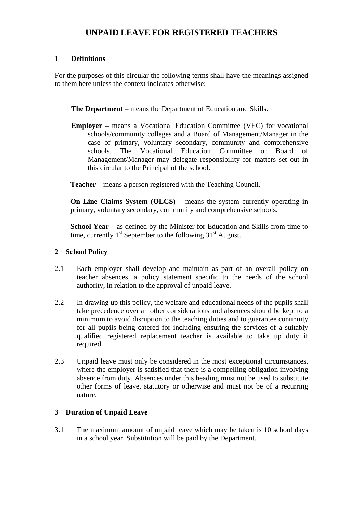# **UNPAID LEAVE FOR REGISTERED TEACHERS**

### **1 Definitions**

For the purposes of this circular the following terms shall have the meanings assigned to them here unless the context indicates otherwise:

**The Department** – means the Department of Education and Skills.

**Employer –** means a Vocational Education Committee (VEC) for vocational schools/community colleges and a Board of Management/Manager in the case of primary, voluntary secondary, community and comprehensive schools. The Vocational Education Committee or Board of Management/Manager may delegate responsibility for matters set out in this circular to the Principal of the school.

**Teacher** – means a person registered with the Teaching Council.

**On Line Claims System (OLCS)** – means the system currently operating in primary, voluntary secondary, community and comprehensive schools.

**School Year** – as defined by the Minister for Education and Skills from time to time, currently  $1<sup>st</sup>$  September to the following  $31<sup>st</sup>$  August.

### **2 School Policy**

- 2.1 Each employer shall develop and maintain as part of an overall policy on teacher absences, a policy statement specific to the needs of the school authority, in relation to the approval of unpaid leave.
- 2.2 In drawing up this policy, the welfare and educational needs of the pupils shall take precedence over all other considerations and absences should be kept to a minimum to avoid disruption to the teaching duties and to guarantee continuity for all pupils being catered for including ensuring the services of a suitably qualified registered replacement teacher is available to take up duty if required.
- 2.3 Unpaid leave must only be considered in the most exceptional circumstances, where the employer is satisfied that there is a compelling obligation involving absence from duty. Absences under this heading must not be used to substitute other forms of leave, statutory or otherwise and must not be of a recurring nature.

## **3 Duration of Unpaid Leave**

3.1 The maximum amount of unpaid leave which may be taken is 10 school days in a school year. Substitution will be paid by the Department.